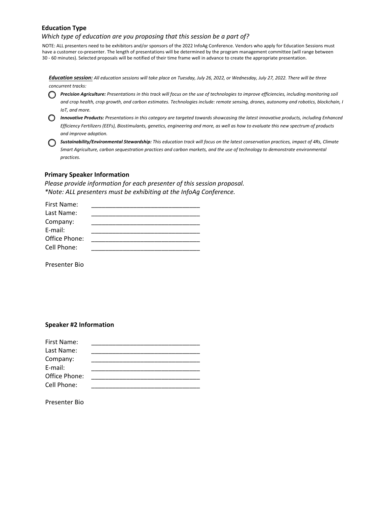